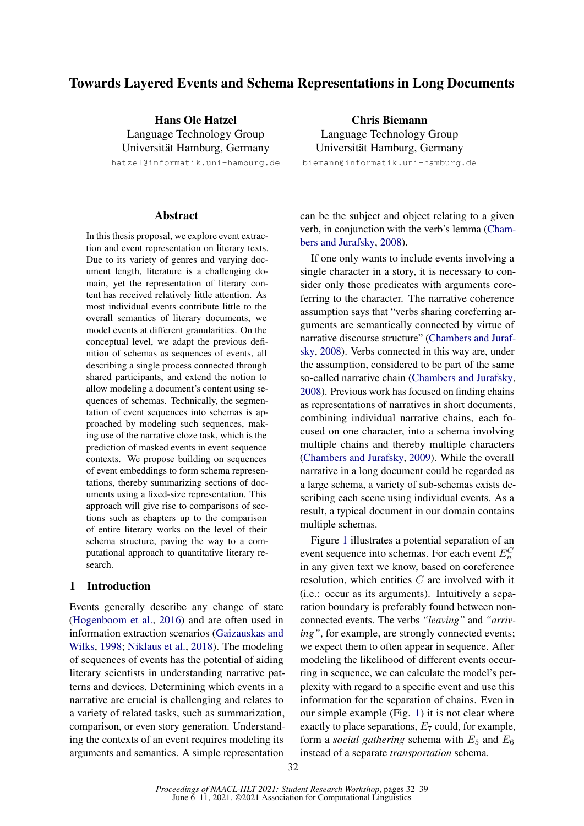# Towards Layered Events and Schema Representations in Long Documents

Hans Ole Hatzel Language Technology Group Universität Hamburg, Germany

hatzel@informatik.uni-hamburg.de

### Abstract

In this thesis proposal, we explore event extraction and event representation on literary texts. Due to its variety of genres and varying document length, literature is a challenging domain, yet the representation of literary content has received relatively little attention. As most individual events contribute little to the overall semantics of literary documents, we model events at different granularities. On the conceptual level, we adapt the previous definition of schemas as sequences of events, all describing a single process connected through shared participants, and extend the notion to allow modeling a document's content using sequences of schemas. Technically, the segmentation of event sequences into schemas is approached by modeling such sequences, making use of the narrative cloze task, which is the prediction of masked events in event sequence contexts. We propose building on sequences of event embeddings to form schema representations, thereby summarizing sections of documents using a fixed-size representation. This approach will give rise to comparisons of sections such as chapters up to the comparison of entire literary works on the level of their schema structure, paving the way to a computational approach to quantitative literary research.

# <span id="page-0-0"></span>1 Introduction

Events generally describe any change of state [\(Hogenboom et al.,](#page-6-0) [2016\)](#page-6-0) and are often used in information extraction scenarios [\(Gaizauskas and](#page-6-1) [Wilks,](#page-6-1) [1998;](#page-6-1) [Niklaus et al.,](#page-6-2) [2018\)](#page-6-2). The modeling of sequences of events has the potential of aiding literary scientists in understanding narrative patterns and devices. Determining which events in a narrative are crucial is challenging and relates to a variety of related tasks, such as summarization, comparison, or even story generation. Understanding the contexts of an event requires modeling its arguments and semantics. A simple representation

Chris Biemann Language Technology Group Universität Hamburg, Germany

biemann@informatik.uni-hamburg.de

can be the subject and object relating to a given verb, in conjunction with the verb's lemma [\(Cham](#page-5-0)[bers and Jurafsky,](#page-5-0) [2008\)](#page-5-0).

If one only wants to include events involving a single character in a story, it is necessary to consider only those predicates with arguments coreferring to the character. The narrative coherence assumption says that "verbs sharing coreferring arguments are semantically connected by virtue of narrative discourse structure" [\(Chambers and Juraf](#page-5-0)[sky,](#page-5-0) [2008\)](#page-5-0). Verbs connected in this way are, under the assumption, considered to be part of the same so-called narrative chain [\(Chambers and Jurafsky,](#page-5-0) [2008\)](#page-5-0). Previous work has focused on finding chains as representations of narratives in short documents, combining individual narrative chains, each focused on one character, into a schema involving multiple chains and thereby multiple characters [\(Chambers and Jurafsky,](#page-5-1) [2009\)](#page-5-1). While the overall narrative in a long document could be regarded as a large schema, a variety of sub-schemas exists describing each scene using individual events. As a result, a typical document in our domain contains multiple schemas.

Figure [1](#page-1-0) illustrates a potential separation of an event sequence into schemas. For each event  $E_n^C$ in any given text we know, based on coreference resolution, which entities C are involved with it (i.e.: occur as its arguments). Intuitively a separation boundary is preferably found between nonconnected events. The verbs *"leaving"* and *"arriving*", for example, are strongly connected events; we expect them to often appear in sequence. After modeling the likelihood of different events occurring in sequence, we can calculate the model's perplexity with regard to a specific event and use this information for the separation of chains. Even in our simple example (Fig. [1\)](#page-1-0) it is not clear where exactly to place separations,  $E_7$  could, for example, form a *social gathering* schema with  $E_5$  and  $E_6$ instead of a separate *transportation* schema.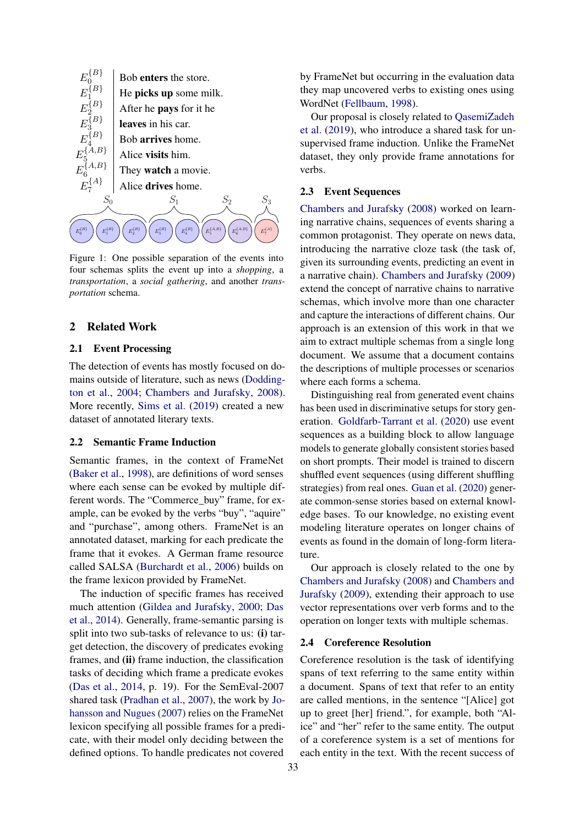<span id="page-1-0"></span>

Figure 1: One possible separation of the events into four schemas splits the event up into a *shopping*, a *transportation*, a *social gathering*, and another *transportation* schema.

# 2 Related Work

### 2.1 Event Processing

The detection of events has mostly focused on domains outside of literature, such as news [\(Dodding](#page-5-2)[ton et al.,](#page-5-2) [2004;](#page-5-2) [Chambers and Jurafsky,](#page-5-0) [2008\)](#page-5-0). More recently, [Sims et al.](#page-7-0) [\(2019\)](#page-7-0) created a new dataset of annotated literary texts.

#### 2.2 Semantic Frame Induction

Semantic frames, in the context of FrameNet [\(Baker et al.,](#page-5-3) [1998\)](#page-5-3), are definitions of word senses where each sense can be evoked by multiple different words. The "Commerce\_buy" frame, for example, can be evoked by the verbs "buy", "aquire" and "purchase", among others. FrameNet is an annotated dataset, marking for each predicate the frame that it evokes. A German frame resource called SALSA [\(Burchardt et al.,](#page-5-4) [2006\)](#page-5-4) builds on the frame lexicon provided by FrameNet.

The induction of specific frames has received much attention [\(Gildea and Jurafsky,](#page-6-3) [2000;](#page-6-3) [Das](#page-5-5) [et al.,](#page-5-5) [2014\)](#page-5-5). Generally, frame-semantic parsing is split into two sub-tasks of relevance to us: (i) target detection, the discovery of predicates evoking frames, and (ii) frame induction, the classification tasks of deciding which frame a predicate evokes [\(Das et al.,](#page-5-5) [2014,](#page-5-5) p. 19). For the SemEval-2007 shared task [\(Pradhan et al.,](#page-6-4) [2007\)](#page-6-4), the work by [Jo](#page-6-5)[hansson and Nugues](#page-6-5) [\(2007\)](#page-6-5) relies on the FrameNet lexicon specifying all possible frames for a predicate, with their model only deciding between the defined options. To handle predicates not covered

by FrameNet but occurring in the evaluation data they map uncovered verbs to existing ones using WordNet [\(Fellbaum,](#page-5-6) [1998\)](#page-5-6).

Our proposal is closely related to [QasemiZadeh](#page-7-1) [et al.](#page-7-1) [\(2019\)](#page-7-1), who introduce a shared task for unsupervised frame induction. Unlike the FrameNet dataset, they only provide frame annotations for verbs.

# 2.3 Event Sequences

[Chambers and Jurafsky](#page-5-0) [\(2008\)](#page-5-0) worked on learning narrative chains, sequences of events sharing a common protagonist. They operate on news data, introducing the narrative cloze task (the task of, given its surrounding events, predicting an event in a narrative chain). [Chambers and Jurafsky](#page-5-1) [\(2009\)](#page-5-1) extend the concept of narrative chains to narrative schemas, which involve more than one character and capture the interactions of different chains. Our approach is an extension of this work in that we aim to extract multiple schemas from a single long document. We assume that a document contains the descriptions of multiple processes or scenarios where each forms a schema.

Distinguishing real from generated event chains has been used in discriminative setups for story generation. [Goldfarb-Tarrant et al.](#page-6-6) [\(2020\)](#page-6-6) use event sequences as a building block to allow language models to generate globally consistent stories based on short prompts. Their model is trained to discern shuffled event sequences (using different shuffling strategies) from real ones. [Guan et al.](#page-6-7) [\(2020\)](#page-6-7) generate common-sense stories based on external knowledge bases. To our knowledge, no existing event modeling literature operates on longer chains of events as found in the domain of long-form literature.

Our approach is closely related to the one by [Chambers and Jurafsky](#page-5-0) [\(2008\)](#page-5-0) and [Chambers and](#page-5-1) [Jurafsky](#page-5-1) [\(2009\)](#page-5-1), extending their approach to use vector representations over verb forms and to the operation on longer texts with multiple schemas.

#### 2.4 Coreference Resolution

Coreference resolution is the task of identifying spans of text referring to the same entity within a document. Spans of text that refer to an entity are called mentions, in the sentence "[Alice] got up to greet [her] friend.", for example, both "Alice" and "her" refer to the same entity. The output of a coreference system is a set of mentions for each entity in the text. With the recent success of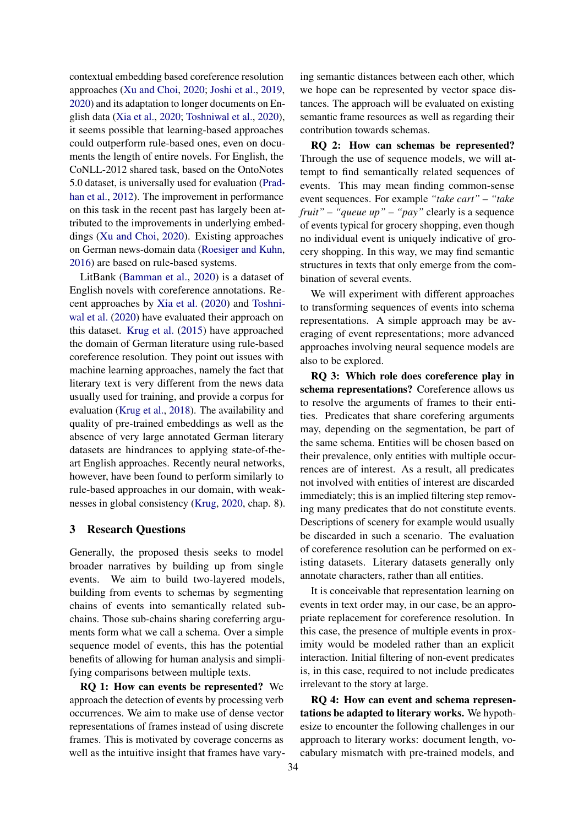contextual embedding based coreference resolution approaches [\(Xu and Choi,](#page-7-2) [2020;](#page-7-2) [Joshi et al.,](#page-6-8) [2019,](#page-6-8) [2020\)](#page-6-9) and its adaptation to longer documents on English data [\(Xia et al.,](#page-7-3) [2020;](#page-7-3) [Toshniwal et al.,](#page-7-4) [2020\)](#page-7-4), it seems possible that learning-based approaches could outperform rule-based ones, even on documents the length of entire novels. For English, the CoNLL-2012 shared task, based on the OntoNotes 5.0 dataset, is universally used for evaluation [\(Prad](#page-6-10)[han et al.,](#page-6-10) [2012\)](#page-6-10). The improvement in performance on this task in the recent past has largely been attributed to the improvements in underlying embeddings [\(Xu and Choi,](#page-7-2) [2020\)](#page-7-2). Existing approaches on German news-domain data [\(Roesiger and Kuhn,](#page-7-5) [2016\)](#page-7-5) are based on rule-based systems.

LitBank [\(Bamman et al.,](#page-5-7) [2020\)](#page-5-7) is a dataset of English novels with coreference annotations. Recent approaches by [Xia et al.](#page-7-3) [\(2020\)](#page-7-3) and [Toshni](#page-7-4)[wal et al.](#page-7-4) [\(2020\)](#page-7-4) have evaluated their approach on this dataset. [Krug et al.](#page-6-11) [\(2015\)](#page-6-11) have approached the domain of German literature using rule-based coreference resolution. They point out issues with machine learning approaches, namely the fact that literary text is very different from the news data usually used for training, and provide a corpus for evaluation [\(Krug et al.,](#page-6-12) [2018\)](#page-6-12). The availability and quality of pre-trained embeddings as well as the absence of very large annotated German literary datasets are hindrances to applying state-of-theart English approaches. Recently neural networks, however, have been found to perform similarly to rule-based approaches in our domain, with weaknesses in global consistency [\(Krug,](#page-6-13) [2020,](#page-6-13) chap. 8).

# 3 Research Questions

Generally, the proposed thesis seeks to model broader narratives by building up from single events. We aim to build two-layered models, building from events to schemas by segmenting chains of events into semantically related subchains. Those sub-chains sharing coreferring arguments form what we call a schema. Over a simple sequence model of events, this has the potential benefits of allowing for human analysis and simplifying comparisons between multiple texts.

RQ 1: How can events be represented? We approach the detection of events by processing verb occurrences. We aim to make use of dense vector representations of frames instead of using discrete frames. This is motivated by coverage concerns as well as the intuitive insight that frames have varying semantic distances between each other, which we hope can be represented by vector space distances. The approach will be evaluated on existing semantic frame resources as well as regarding their contribution towards schemas.

RQ 2: How can schemas be represented? Through the use of sequence models, we will attempt to find semantically related sequences of events. This may mean finding common-sense event sequences. For example *"take cart" – "take fruit" – "queue up" – "pay"* clearly is a sequence of events typical for grocery shopping, even though no individual event is uniquely indicative of grocery shopping. In this way, we may find semantic structures in texts that only emerge from the combination of several events.

We will experiment with different approaches to transforming sequences of events into schema representations. A simple approach may be averaging of event representations; more advanced approaches involving neural sequence models are also to be explored.

RQ 3: Which role does coreference play in schema representations? Coreference allows us to resolve the arguments of frames to their entities. Predicates that share corefering arguments may, depending on the segmentation, be part of the same schema. Entities will be chosen based on their prevalence, only entities with multiple occurrences are of interest. As a result, all predicates not involved with entities of interest are discarded immediately; this is an implied filtering step removing many predicates that do not constitute events. Descriptions of scenery for example would usually be discarded in such a scenario. The evaluation of coreference resolution can be performed on existing datasets. Literary datasets generally only annotate characters, rather than all entities.

It is conceivable that representation learning on events in text order may, in our case, be an appropriate replacement for coreference resolution. In this case, the presence of multiple events in proximity would be modeled rather than an explicit interaction. Initial filtering of non-event predicates is, in this case, required to not include predicates irrelevant to the story at large.

RQ 4: How can event and schema representations be adapted to literary works. We hypothesize to encounter the following challenges in our approach to literary works: document length, vocabulary mismatch with pre-trained models, and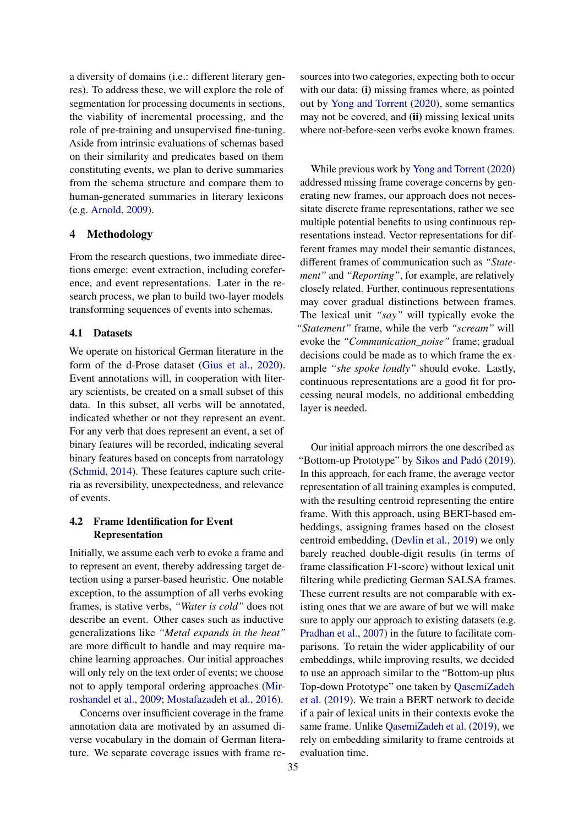a diversity of domains (i.e.: different literary genres). To address these, we will explore the role of segmentation for processing documents in sections, the viability of incremental processing, and the role of pre-training and unsupervised fine-tuning. Aside from intrinsic evaluations of schemas based on their similarity and predicates based on them constituting events, we plan to derive summaries from the schema structure and compare them to human-generated summaries in literary lexicons (e.g. [Arnold,](#page-5-8) [2009\)](#page-5-8).

# 4 Methodology

From the research questions, two immediate directions emerge: event extraction, including coreference, and event representations. Later in the research process, we plan to build two-layer models transforming sequences of events into schemas.

### 4.1 Datasets

We operate on historical German literature in the form of the d-Prose dataset [\(Gius et al.,](#page-6-14) [2020\)](#page-6-14). Event annotations will, in cooperation with literary scientists, be created on a small subset of this data. In this subset, all verbs will be annotated, indicated whether or not they represent an event. For any verb that does represent an event, a set of binary features will be recorded, indicating several binary features based on concepts from narratology [\(Schmid,](#page-7-6) [2014\)](#page-7-6). These features capture such criteria as reversibility, unexpectedness, and relevance of events.

# 4.2 Frame Identification for Event Representation

Initially, we assume each verb to evoke a frame and to represent an event, thereby addressing target detection using a parser-based heuristic. One notable exception, to the assumption of all verbs evoking frames, is stative verbs, *"Water is cold"* does not describe an event. Other cases such as inductive generalizations like *"Metal expands in the heat"* are more difficult to handle and may require machine learning approaches. Our initial approaches will only rely on the text order of events; we choose not to apply temporal ordering approaches [\(Mir](#page-6-15)[roshandel et al.,](#page-6-15) [2009;](#page-6-15) [Mostafazadeh et al.,](#page-6-16) [2016\)](#page-6-16).

Concerns over insufficient coverage in the frame annotation data are motivated by an assumed diverse vocabulary in the domain of German literature. We separate coverage issues with frame resources into two categories, expecting both to occur with our data: (i) missing frames where, as pointed out by [Yong and Torrent](#page-7-7) [\(2020\)](#page-7-7), some semantics may not be covered, and (ii) missing lexical units where not-before-seen verbs evoke known frames.

While previous work by [Yong and Torrent](#page-7-7) [\(2020\)](#page-7-7) addressed missing frame coverage concerns by generating new frames, our approach does not necessitate discrete frame representations, rather we see multiple potential benefits to using continuous representations instead. Vector representations for different frames may model their semantic distances, different frames of communication such as *"Statement"* and *"Reporting"*, for example, are relatively closely related. Further, continuous representations may cover gradual distinctions between frames. The lexical unit *"say"* will typically evoke the *"Statement"* frame, while the verb *"scream"* will evoke the *"Communication\_noise"* frame; gradual decisions could be made as to which frame the example *"she spoke loudly"* should evoke. Lastly, continuous representations are a good fit for processing neural models, no additional embedding layer is needed.

Our initial approach mirrors the one described as "Bottom-up Prototype" by [Sikos and Padó](#page-7-8) [\(2019\)](#page-7-8). In this approach, for each frame, the average vector representation of all training examples is computed, with the resulting centroid representing the entire frame. With this approach, using BERT-based embeddings, assigning frames based on the closest centroid embedding, [\(Devlin et al.,](#page-5-9) [2019\)](#page-5-9) we only barely reached double-digit results (in terms of frame classification F1-score) without lexical unit filtering while predicting German SALSA frames. These current results are not comparable with existing ones that we are aware of but we will make sure to apply our approach to existing datasets (e.g. [Pradhan et al.,](#page-6-4) [2007\)](#page-6-4) in the future to facilitate comparisons. To retain the wider applicability of our embeddings, while improving results, we decided to use an approach similar to the "Bottom-up plus Top-down Prototype" one taken by [QasemiZadeh](#page-7-1) [et al.](#page-7-1) [\(2019\)](#page-7-1). We train a BERT network to decide if a pair of lexical units in their contexts evoke the same frame. Unlike [QasemiZadeh et al.](#page-7-1) [\(2019\)](#page-7-1), we rely on embedding similarity to frame centroids at evaluation time.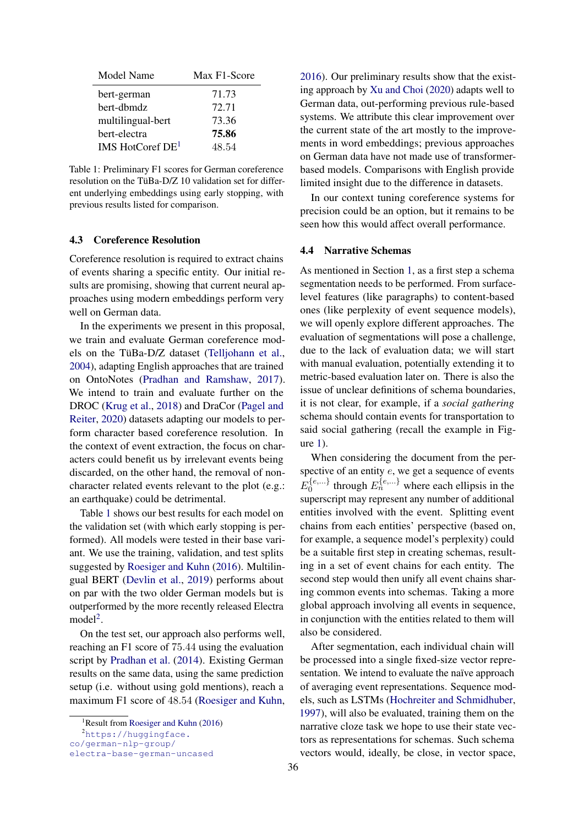<span id="page-4-1"></span>

| Model Name         | Max F1-Score |
|--------------------|--------------|
| bert-german        | 71.73        |
| bert-dbmdz         | 72.71        |
| multilingual-bert  | 73.36        |
| bert-electra       | 75.86        |
| IMS HotCoref $DE1$ | 48.54        |

Table 1: Preliminary F1 scores for German coreference resolution on the TüBa-D/Z 10 validation set for different underlying embeddings using early stopping, with previous results listed for comparison.

# 4.3 Coreference Resolution

Coreference resolution is required to extract chains of events sharing a specific entity. Our initial results are promising, showing that current neural approaches using modern embeddings perform very well on German data.

In the experiments we present in this proposal, we train and evaluate German coreference models on the TüBa-D/Z dataset [\(Telljohann et al.,](#page-7-9) [2004\)](#page-7-9), adapting English approaches that are trained on OntoNotes [\(Pradhan and Ramshaw,](#page-7-10) [2017\)](#page-7-10). We intend to train and evaluate further on the DROC [\(Krug et al.,](#page-6-12) [2018\)](#page-6-12) and DraCor [\(Pagel and](#page-6-17) [Reiter,](#page-6-17) [2020\)](#page-6-17) datasets adapting our models to perform character based coreference resolution. In the context of event extraction, the focus on characters could benefit us by irrelevant events being discarded, on the other hand, the removal of noncharacter related events relevant to the plot (e.g.: an earthquake) could be detrimental.

Table [1](#page-4-1) shows our best results for each model on the validation set (with which early stopping is performed). All models were tested in their base variant. We use the training, validation, and test splits suggested by [Roesiger and Kuhn](#page-7-5) [\(2016\)](#page-7-5). Multilingual BERT [\(Devlin et al.,](#page-5-9) [2019\)](#page-5-9) performs about on par with the two older German models but is outperformed by the more recently released Electra model<sup>[2](#page-4-2)</sup>.

On the test set, our approach also performs well, reaching an F1 score of 75.44 using the evaluation script by [Pradhan et al.](#page-6-18) [\(2014\)](#page-6-18). Existing German results on the same data, using the same prediction setup (i.e. without using gold mentions), reach a maximum F1 score of 48.54 [\(Roesiger and Kuhn,](#page-7-5)

<sup>2</sup>[https://huggingface.](https://huggingface.co/german-nlp-group/electra-base-german-uncased)

[co/german-nlp-group/](https://huggingface.co/german-nlp-group/electra-base-german-uncased)

[2016\)](#page-7-5). Our preliminary results show that the existing approach by [Xu and Choi](#page-7-2) [\(2020\)](#page-7-2) adapts well to German data, out-performing previous rule-based systems. We attribute this clear improvement over the current state of the art mostly to the improvements in word embeddings; previous approaches on German data have not made use of transformerbased models. Comparisons with English provide limited insight due to the difference in datasets.

In our context tuning coreference systems for precision could be an option, but it remains to be seen how this would affect overall performance.

# 4.4 Narrative Schemas

As mentioned in Section [1,](#page-0-0) as a first step a schema segmentation needs to be performed. From surfacelevel features (like paragraphs) to content-based ones (like perplexity of event sequence models), we will openly explore different approaches. The evaluation of segmentations will pose a challenge, due to the lack of evaluation data; we will start with manual evaluation, potentially extending it to metric-based evaluation later on. There is also the issue of unclear definitions of schema boundaries, it is not clear, for example, if a *social gathering* schema should contain events for transportation to said social gathering (recall the example in Figure [1\)](#page-1-0).

When considering the document from the perspective of an entity  $e$ , we get a sequence of events  $E_0^{\{e,...\}}$  $\{e^{i\theta_1}, \dots\}$  through  $E_n^{\{e,\dots\}}$  where each ellipsis in the superscript may represent any number of additional entities involved with the event. Splitting event chains from each entities' perspective (based on, for example, a sequence model's perplexity) could be a suitable first step in creating schemas, resulting in a set of event chains for each entity. The second step would then unify all event chains sharing common events into schemas. Taking a more global approach involving all events in sequence, in conjunction with the entities related to them will also be considered.

After segmentation, each individual chain will be processed into a single fixed-size vector representation. We intend to evaluate the naïve approach of averaging event representations. Sequence models, such as LSTMs [\(Hochreiter and Schmidhuber,](#page-6-19) [1997\)](#page-6-19), will also be evaluated, training them on the narrative cloze task we hope to use their state vectors as representations for schemas. Such schema vectors would, ideally, be close, in vector space,

<span id="page-4-2"></span><span id="page-4-0"></span><sup>&</sup>lt;sup>1</sup>Result from [Roesiger and Kuhn](#page-7-5) [\(2016\)](#page-7-5)

[electra-base-german-uncased](https://huggingface.co/german-nlp-group/electra-base-german-uncased)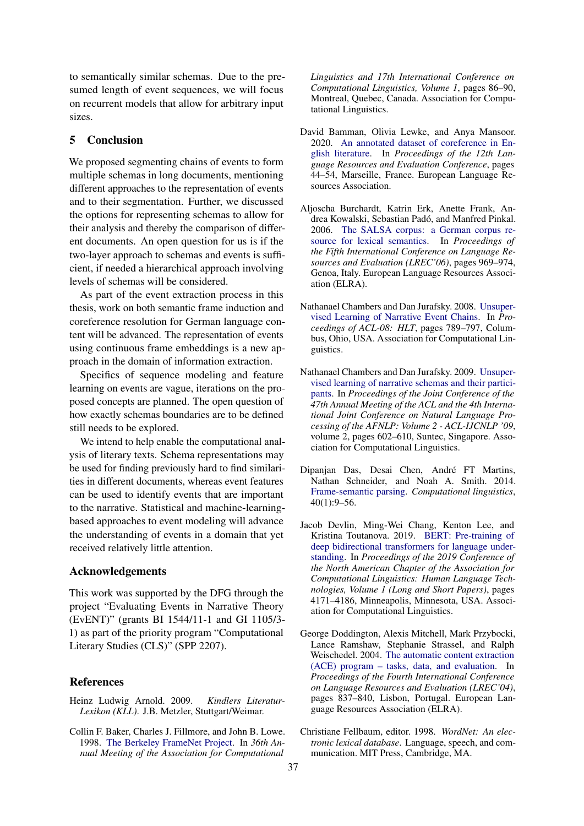to semantically similar schemas. Due to the presumed length of event sequences, we will focus on recurrent models that allow for arbitrary input sizes.

# 5 Conclusion

We proposed segmenting chains of events to form multiple schemas in long documents, mentioning different approaches to the representation of events and to their segmentation. Further, we discussed the options for representing schemas to allow for their analysis and thereby the comparison of different documents. An open question for us is if the two-layer approach to schemas and events is sufficient, if needed a hierarchical approach involving levels of schemas will be considered.

As part of the event extraction process in this thesis, work on both semantic frame induction and coreference resolution for German language content will be advanced. The representation of events using continuous frame embeddings is a new approach in the domain of information extraction.

Specifics of sequence modeling and feature learning on events are vague, iterations on the proposed concepts are planned. The open question of how exactly schemas boundaries are to be defined still needs to be explored.

We intend to help enable the computational analysis of literary texts. Schema representations may be used for finding previously hard to find similarities in different documents, whereas event features can be used to identify events that are important to the narrative. Statistical and machine-learningbased approaches to event modeling will advance the understanding of events in a domain that yet received relatively little attention.

### Acknowledgements

This work was supported by the DFG through the project "Evaluating Events in Narrative Theory (EvENT)" (grants BI 1544/11-1 and GI 1105/3- 1) as part of the priority program "Computational Literary Studies (CLS)" (SPP 2207).

## References

- <span id="page-5-8"></span>Heinz Ludwig Arnold. 2009. *Kindlers Literatur-Lexikon (KLL)*. J.B. Metzler, Stuttgart/Weimar.
- <span id="page-5-3"></span>Collin F. Baker, Charles J. Fillmore, and John B. Lowe. 1998. [The Berkeley FrameNet Project.](https://doi.org/10.3115/980845.980860) In *36th Annual Meeting of the Association for Computational*

*Linguistics and 17th International Conference on Computational Linguistics, Volume 1*, pages 86–90, Montreal, Quebec, Canada. Association for Computational Linguistics.

- <span id="page-5-7"></span>David Bamman, Olivia Lewke, and Anya Mansoor. 2020. [An annotated dataset of coreference in En](https://www.aclweb.org/anthology/2020.lrec-1.6)[glish literature.](https://www.aclweb.org/anthology/2020.lrec-1.6) In *Proceedings of the 12th Language Resources and Evaluation Conference*, pages 44–54, Marseille, France. European Language Resources Association.
- <span id="page-5-4"></span>Aljoscha Burchardt, Katrin Erk, Anette Frank, Andrea Kowalski, Sebastian Padó, and Manfred Pinkal. 2006. [The SALSA corpus: a German corpus re](http://www.lrec-conf.org/proceedings/lrec2006/pdf/339_pdf.pdf)[source for lexical semantics.](http://www.lrec-conf.org/proceedings/lrec2006/pdf/339_pdf.pdf) In *Proceedings of the Fifth International Conference on Language Resources and Evaluation (LREC'06)*, pages 969–974, Genoa, Italy. European Language Resources Association (ELRA).
- <span id="page-5-0"></span>Nathanael Chambers and Dan Jurafsky. 2008. [Unsuper](https://www.aclweb.org/anthology/P08-1090)[vised Learning of Narrative Event Chains.](https://www.aclweb.org/anthology/P08-1090) In *Proceedings of ACL-08: HLT*, pages 789–797, Columbus, Ohio, USA. Association for Computational Linguistics.
- <span id="page-5-1"></span>Nathanael Chambers and Dan Jurafsky. 2009. [Unsuper](https://doi.org/10.3115/1690219.1690231)[vised learning of narrative schemas and their partici](https://doi.org/10.3115/1690219.1690231)[pants.](https://doi.org/10.3115/1690219.1690231) In *Proceedings of the Joint Conference of the 47th Annual Meeting of the ACL and the 4th International Joint Conference on Natural Language Processing of the AFNLP: Volume 2 - ACL-IJCNLP '09*, volume 2, pages 602–610, Suntec, Singapore. Association for Computational Linguistics.
- <span id="page-5-5"></span>Dipanjan Das, Desai Chen, André FT Martins, Nathan Schneider, and Noah A. Smith. 2014. [Frame-semantic parsing.](https://www.doi.org/10.1162/COLI_a_00163) *Computational linguistics*, 40(1):9–56.
- <span id="page-5-9"></span>Jacob Devlin, Ming-Wei Chang, Kenton Lee, and Kristina Toutanova. 2019. [BERT: Pre-training of](https://doi.org/10.18653/v1/N19-1423) [deep bidirectional transformers for language under](https://doi.org/10.18653/v1/N19-1423)[standing.](https://doi.org/10.18653/v1/N19-1423) In *Proceedings of the 2019 Conference of the North American Chapter of the Association for Computational Linguistics: Human Language Technologies, Volume 1 (Long and Short Papers)*, pages 4171–4186, Minneapolis, Minnesota, USA. Association for Computational Linguistics.
- <span id="page-5-2"></span>George Doddington, Alexis Mitchell, Mark Przybocki, Lance Ramshaw, Stephanie Strassel, and Ralph Weischedel. 2004. [The automatic content extraction](http://www.lrec-conf.org/proceedings/lrec2004/pdf/5.pdf) [\(ACE\) program – tasks, data, and evaluation.](http://www.lrec-conf.org/proceedings/lrec2004/pdf/5.pdf) In *Proceedings of the Fourth International Conference on Language Resources and Evaluation (LREC'04)*, pages 837–840, Lisbon, Portugal. European Language Resources Association (ELRA).
- <span id="page-5-6"></span>Christiane Fellbaum, editor. 1998. *WordNet: An electronic lexical database*. Language, speech, and communication. MIT Press, Cambridge, MA.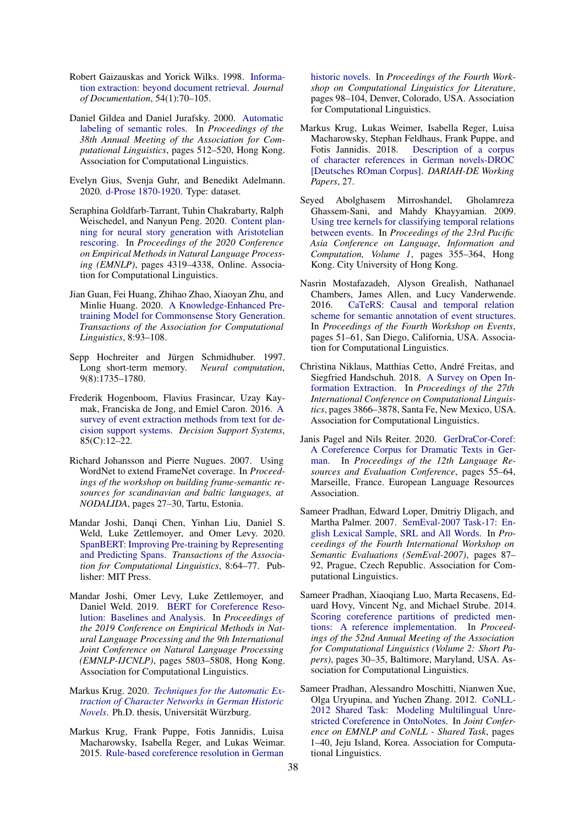- <span id="page-6-1"></span>Robert Gaizauskas and Yorick Wilks. 1998. [Informa](https://doi.org/10.1108/EUM0000000007162)[tion extraction: beyond document retrieval.](https://doi.org/10.1108/EUM0000000007162) *Journal of Documentation*, 54(1):70–105.
- <span id="page-6-3"></span>Daniel Gildea and Daniel Jurafsky. 2000. [Automatic](https://doi.org/10.3115/1075218.1075283) [labeling of semantic roles.](https://doi.org/10.3115/1075218.1075283) In *Proceedings of the 38th Annual Meeting of the Association for Computational Linguistics*, pages 512–520, Hong Kong. Association for Computational Linguistics.
- <span id="page-6-14"></span>Evelyn Gius, Svenja Guhr, and Benedikt Adelmann. 2020. [d-Prose 1870-1920.](https://doi.org/10.5281/zenodo.4315209) Type: dataset.
- <span id="page-6-6"></span>Seraphina Goldfarb-Tarrant, Tuhin Chakrabarty, Ralph Weischedel, and Nanyun Peng. 2020. [Content plan](https://doi.org/10.18653/v1/2020.emnlp-main.351)[ning for neural story generation with Aristotelian](https://doi.org/10.18653/v1/2020.emnlp-main.351) [rescoring.](https://doi.org/10.18653/v1/2020.emnlp-main.351) In *Proceedings of the 2020 Conference on Empirical Methods in Natural Language Processing (EMNLP)*, pages 4319–4338, Online. Association for Computational Linguistics.
- <span id="page-6-7"></span>Jian Guan, Fei Huang, Zhihao Zhao, Xiaoyan Zhu, and Minlie Huang. 2020. [A Knowledge-Enhanced Pre](https://doi.org/10.1162/tacl_a_00302)[training Model for Commonsense Story Generation.](https://doi.org/10.1162/tacl_a_00302) *Transactions of the Association for Computational Linguistics*, 8:93–108.
- <span id="page-6-19"></span>Sepp Hochreiter and Jürgen Schmidhuber. 1997. Long short-term memory. *Neural computation*, 9(8):1735–1780.
- <span id="page-6-0"></span>Frederik Hogenboom, Flavius Frasincar, Uzay Kaymak, Franciska de Jong, and Emiel Caron. 2016. [A](https://doi.org/10.1016/j.dss.2016.02.006) [survey of event extraction methods from text for de](https://doi.org/10.1016/j.dss.2016.02.006)[cision support systems.](https://doi.org/10.1016/j.dss.2016.02.006) *Decision Support Systems*, 85(C):12–22.
- <span id="page-6-5"></span>Richard Johansson and Pierre Nugues. 2007. Using WordNet to extend FrameNet coverage. In *Proceedings of the workshop on building frame-semantic resources for scandinavian and baltic languages, at NODALIDA*, pages 27–30, Tartu, Estonia.
- <span id="page-6-9"></span>Mandar Joshi, Danqi Chen, Yinhan Liu, Daniel S. Weld, Luke Zettlemoyer, and Omer Levy. 2020. [SpanBERT: Improving Pre-training by Representing](https://doi.org/10.1162/tacl_a_00300) [and Predicting Spans.](https://doi.org/10.1162/tacl_a_00300) *Transactions of the Association for Computational Linguistics*, 8:64–77. Publisher: MIT Press.
- <span id="page-6-8"></span>Mandar Joshi, Omer Levy, Luke Zettlemoyer, and Daniel Weld. 2019. [BERT for Coreference Reso](https://doi.org/10.18653/v1/D19-1588)[lution: Baselines and Analysis.](https://doi.org/10.18653/v1/D19-1588) In *Proceedings of the 2019 Conference on Empirical Methods in Natural Language Processing and the 9th International Joint Conference on Natural Language Processing (EMNLP-IJCNLP)*, pages 5803–5808, Hong Kong. Association for Computational Linguistics.
- <span id="page-6-13"></span>Markus Krug. 2020. *[Techniques for the Automatic Ex](https://opus.bibliothek.uni-wuerzburg.de/frontdoor/index/index/docId/20918)[traction of Character Networks in German Historic](https://opus.bibliothek.uni-wuerzburg.de/frontdoor/index/index/docId/20918) [Novels](https://opus.bibliothek.uni-wuerzburg.de/frontdoor/index/index/docId/20918)*. Ph.D. thesis, Universität Würzburg.
- <span id="page-6-11"></span>Markus Krug, Frank Puppe, Fotis Jannidis, Luisa Macharowsky, Isabella Reger, and Lukas Weimar. 2015. [Rule-based coreference resolution in German](https://doi.org/10.3115/v1/W15-0711)

[historic novels.](https://doi.org/10.3115/v1/W15-0711) In *Proceedings of the Fourth Workshop on Computational Linguistics for Literature*, pages 98–104, Denver, Colorado, USA. Association for Computational Linguistics.

- <span id="page-6-12"></span>Markus Krug, Lukas Weimer, Isabella Reger, Luisa Macharowsky, Stephan Feldhaus, Frank Puppe, and<br>Fotis Jannidis. 2018. Description of a corpus [Description of a corpus](http://nbn-resolving.de/urn:nbn:de:gbv:7-dariah-2018-2-9) [of character references in German novels-DROC](http://nbn-resolving.de/urn:nbn:de:gbv:7-dariah-2018-2-9) [\[Deutsches ROman Corpus\].](http://nbn-resolving.de/urn:nbn:de:gbv:7-dariah-2018-2-9) *DARIAH-DE Working Papers*, 27.
- <span id="page-6-15"></span>Seyed Abolghasem Mirroshandel, Gholamreza Ghassem-Sani, and Mahdy Khayyamian. 2009. [Using tree kernels for classifying temporal relations](https://www.aclweb.org/anthology/Y09-1038) [between events.](https://www.aclweb.org/anthology/Y09-1038) In *Proceedings of the 23rd Pacific Asia Conference on Language, Information and Computation, Volume 1*, pages 355–364, Hong Kong. City University of Hong Kong.
- <span id="page-6-16"></span>Nasrin Mostafazadeh, Alyson Grealish, Nathanael Chambers, James Allen, and Lucy Vanderwende. 2016. [CaTeRS: Causal and temporal relation](https://doi.org/10.18653/v1/W16-1007) [scheme for semantic annotation of event structures.](https://doi.org/10.18653/v1/W16-1007) In *Proceedings of the Fourth Workshop on Events*, pages 51–61, San Diego, California, USA. Association for Computational Linguistics.
- <span id="page-6-2"></span>Christina Niklaus, Matthias Cetto, André Freitas, and Siegfried Handschuh. 2018. [A Survey on Open In](https://www.aclweb.org/anthology/C18-1326)[formation Extraction.](https://www.aclweb.org/anthology/C18-1326) In *Proceedings of the 27th International Conference on Computational Linguistics*, pages 3866–3878, Santa Fe, New Mexico, USA. Association for Computational Linguistics.
- <span id="page-6-17"></span>Janis Pagel and Nils Reiter. 2020. [GerDraCor-Coref:](https://www.aclweb.org/anthology/2020.lrec-1.7) [A Coreference Corpus for Dramatic Texts in Ger](https://www.aclweb.org/anthology/2020.lrec-1.7)[man.](https://www.aclweb.org/anthology/2020.lrec-1.7) In *Proceedings of the 12th Language Resources and Evaluation Conference*, pages 55–64, Marseille, France. European Language Resources Association.
- <span id="page-6-4"></span>Sameer Pradhan, Edward Loper, Dmitriy Dligach, and Martha Palmer. 2007. [SemEval-2007 Task-17: En](https://www.aclweb.org/anthology/S07-1016)[glish Lexical Sample, SRL and All Words.](https://www.aclweb.org/anthology/S07-1016) In *Proceedings of the Fourth International Workshop on Semantic Evaluations (SemEval-2007)*, pages 87– 92, Prague, Czech Republic. Association for Computational Linguistics.
- <span id="page-6-18"></span>Sameer Pradhan, Xiaoqiang Luo, Marta Recasens, Eduard Hovy, Vincent Ng, and Michael Strube. 2014. [Scoring coreference partitions of predicted men](https://doi.org/10.3115/v1/P14-2006)[tions: A reference implementation.](https://doi.org/10.3115/v1/P14-2006) In *Proceedings of the 52nd Annual Meeting of the Association for Computational Linguistics (Volume 2: Short Papers)*, pages 30–35, Baltimore, Maryland, USA. Association for Computational Linguistics.
- <span id="page-6-10"></span>Sameer Pradhan, Alessandro Moschitti, Nianwen Xue, Olga Uryupina, and Yuchen Zhang. 2012. [CoNLL-](https://www.aclweb.org/anthology/W12-4501)[2012 Shared Task: Modeling Multilingual Unre](https://www.aclweb.org/anthology/W12-4501)[stricted Coreference in OntoNotes.](https://www.aclweb.org/anthology/W12-4501) In *Joint Conference on EMNLP and CoNLL - Shared Task*, pages 1–40, Jeju Island, Korea. Association for Computational Linguistics.